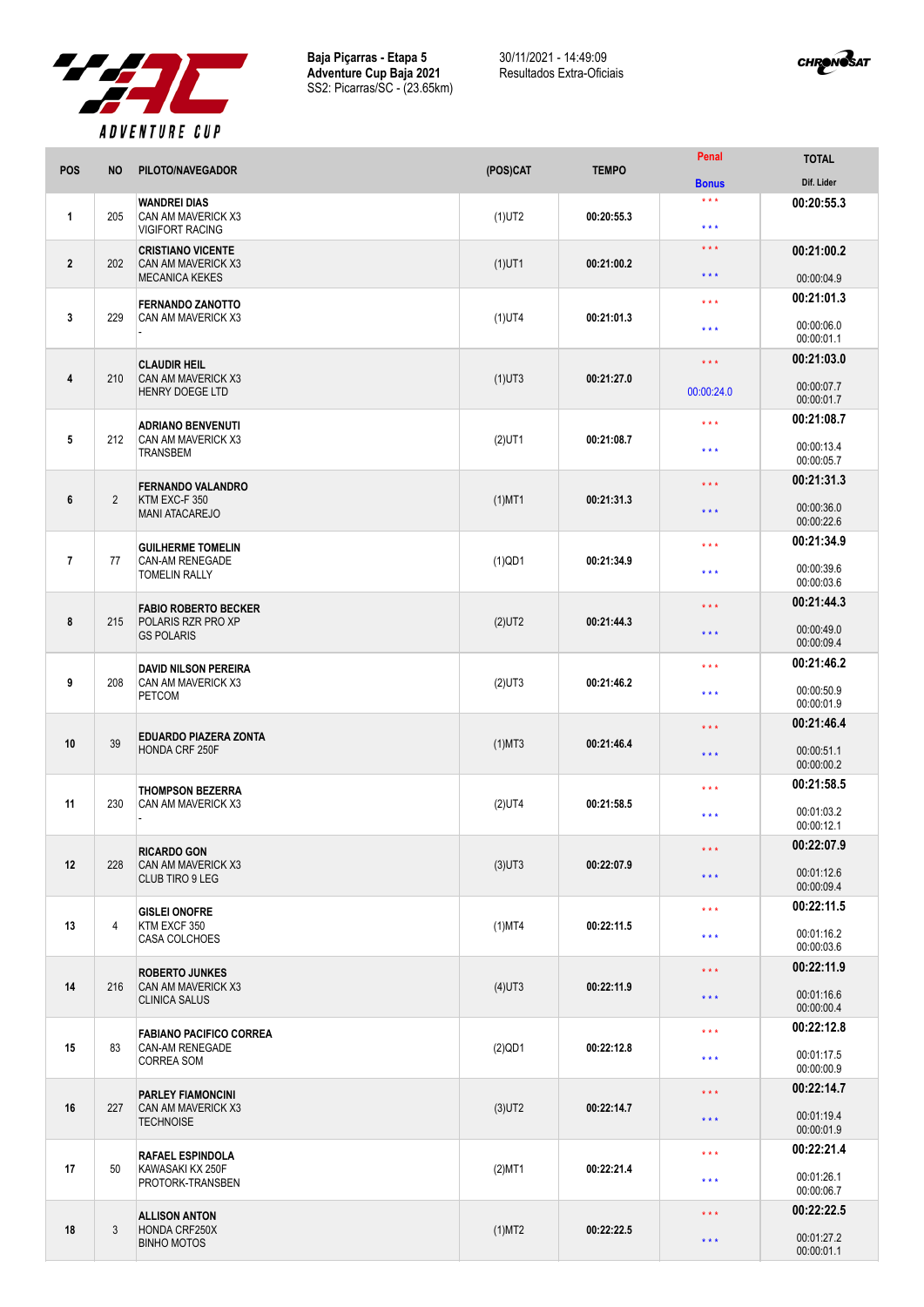

**Baja Piçarras - Etapa 5 Adventure Cup Baja 2021** SS2: Picarras/SC - (23.65km) 30/11/2021 - 14:49:09 Resultados Extra-Oficiais



|                |                |                                                                     |           |              | Penal               | <b>TOTAL</b>             |
|----------------|----------------|---------------------------------------------------------------------|-----------|--------------|---------------------|--------------------------|
| <b>POS</b>     | <b>NO</b>      | PILOTO/NAVEGADOR                                                    | (POS)CAT  | <b>TEMPO</b> | <b>Bonus</b>        | Dif. Lider               |
| 1              | 205            | <b>WANDREI DIAS</b><br>CAN AM MAVERICK X3<br><b>VIGIFORT RACING</b> | $(1)$ UT2 | 00:20:55.3   | $***$<br>$***$      | 00:20:55.3               |
|                |                | <b>CRISTIANO VICENTE</b>                                            |           |              | $\star\star\star$   | 00:21:00.2               |
| $\overline{2}$ | 202            | CAN AM MAVERICK X3<br><b>MECANICA KEKES</b>                         | $(1)$ UT1 | 00:21:00.2   | $***$               | 00:00:04.9               |
|                |                | <b>FERNANDO ZANOTTO</b>                                             |           |              | $***$               | 00:21:01.3               |
| 3              | 229            | CAN AM MAVERICK X3                                                  | $(1)$ UT4 | 00:21:01.3   | $***$               | 00:00:06.0<br>00:00:01.1 |
| 4              | 210            | <b>CLAUDIR HEIL</b><br>CAN AM MAVERICK X3                           |           | 00:21:27.0   | $***$               | 00:21:03.0               |
|                |                | <b>HENRY DOEGE LTD</b>                                              | $(1)$ UT3 |              | 00:00:24.0          | 00:00:07.7<br>00:00:01.7 |
| $\sqrt{5}$     | 212            | <b>ADRIANO BENVENUTI</b><br>CAN AM MAVERICK X3                      |           | 00:21:08.7   | $***$               | 00:21:08.7               |
|                |                | <b>TRANSBEM</b>                                                     | $(2)$ UT1 |              | $***$               | 00:00:13.4<br>00:00:05.7 |
| $\bf 6$        | $\overline{2}$ | <b>FERNANDO VALANDRO</b>                                            |           |              | $***$               | 00:21:31.3               |
|                |                | KTM EXC-F 350<br><b>MANI ATACAREJO</b>                              | $(1)$ MT1 | 00:21:31.3   | $***$               | 00:00:36.0<br>00:00:22.6 |
|                |                | <b>GUILHERME TOMELIN</b>                                            |           |              | $***$               | 00:21:34.9               |
| $\overline{1}$ | 77             | CAN-AM RENEGADE<br><b>TOMELIN RALLY</b>                             | $(1)$ QD1 | 00:21:34.9   | $***$               | 00:00:39.6<br>00:00:03.6 |
|                |                | <b>FABIO ROBERTO BECKER</b>                                         |           |              | $***$               | 00:21:44.3               |
| 8              | 215            | POLARIS RZR PRO XP<br><b>GS POLARIS</b>                             | $(2)$ UT2 | 00:21:44.3   | $***$               | 00:00:49.0<br>00:00:09.4 |
|                |                | <b>DAVID NILSON PEREIRA</b>                                         |           |              | $***$               | 00:21:46.2               |
| 9              | 208            | CAN AM MAVERICK X3<br><b>PETCOM</b>                                 | $(2)$ UT3 | 00:21:46.2   | $***$               | 00:00:50.9<br>00:00:01.9 |
|                |                | <b>EDUARDO PIAZERA ZONTA</b>                                        |           |              | $***$               | 00:21:46.4               |
| 10             | 39             | HONDA CRF 250F                                                      | $(1)$ MT3 | 00:21:46.4   | $***$               | 00:00:51.1<br>00:00:00.2 |
|                |                | <b>THOMPSON BEZERRA</b>                                             |           |              | $***$               | 00:21:58.5               |
| 11             | 230            | CAN AM MAVERICK X3                                                  | $(2)$ UT4 | 00:21:58.5   | $***$               | 00:01:03.2<br>00:00:12.1 |
|                |                | <b>RICARDO GON</b>                                                  |           |              | $\star\star\star$   | 00:22:07.9               |
| 12             | 228            | CAN AM MAVERICK X3<br>CLUB TIRO 9 LEG                               | $(3)$ UT3 | 00:22:07.9   | $***$               | 00:01:12.6<br>00:00:09.4 |
|                |                | <b>GISLEI ONOFRE</b>                                                |           | 00:22:11.5   | $***$               | 00:22:11.5               |
| 13             | 4              | KTM EXCF 350<br><b>CASA COLCHOES</b>                                | $(1)$ MT4 |              | $***$               | 00:01:16.2<br>00:00:03.6 |
|                |                | <b>ROBERTO JUNKES</b>                                               |           |              | $***$               | 00:22:11.9               |
| 14             | 216            | CAN AM MAVERICK X3<br><b>CLINICA SALUS</b>                          | $(4)$ UT3 | 00:22:11.9   | $***$               | 00:01:16.6<br>00:00:00.4 |
|                |                | <b>FABIANO PACIFICO CORREA</b>                                      |           |              | $\star\star\star$   | 00:22:12.8               |
| 15             | 83             | CAN-AM RENEGADE<br>CORREA SOM                                       | $(2)$ QD1 | 00:22:12.8   | $***$               | 00:01:17.5<br>00:00:00.9 |
|                |                | <b>PARLEY FIAMONCINI</b>                                            |           |              | $\star\star\star$   | 00:22:14.7               |
| 16             | 227            | CAN AM MAVERICK X3<br><b>TECHNOISE</b>                              | $(3)$ UT2 | 00:22:14.7   | $***$               | 00:01:19.4<br>00:00:01.9 |
|                |                | <b>RAFAEL ESPINDOLA</b>                                             |           |              | $***$               | 00:22:21.4               |
| 17             | 50             | KAWASAKI KX 250F<br>PROTORK-TRANSBEN                                | $(2)$ MT1 | 00:22:21.4   | $\star \star \star$ | 00:01:26.1<br>00:00:06.7 |
| 18             | 3              | <b>ALLISON ANTON</b><br>HONDA CRF250X<br><b>BINHO MOTOS</b>         | $(1)$ MT2 | 00:22:22.5   | $\star\star\star$   | 00:22:22.5               |
|                |                |                                                                     |           |              | $***$               | 00:01:27.2<br>00:00:01.1 |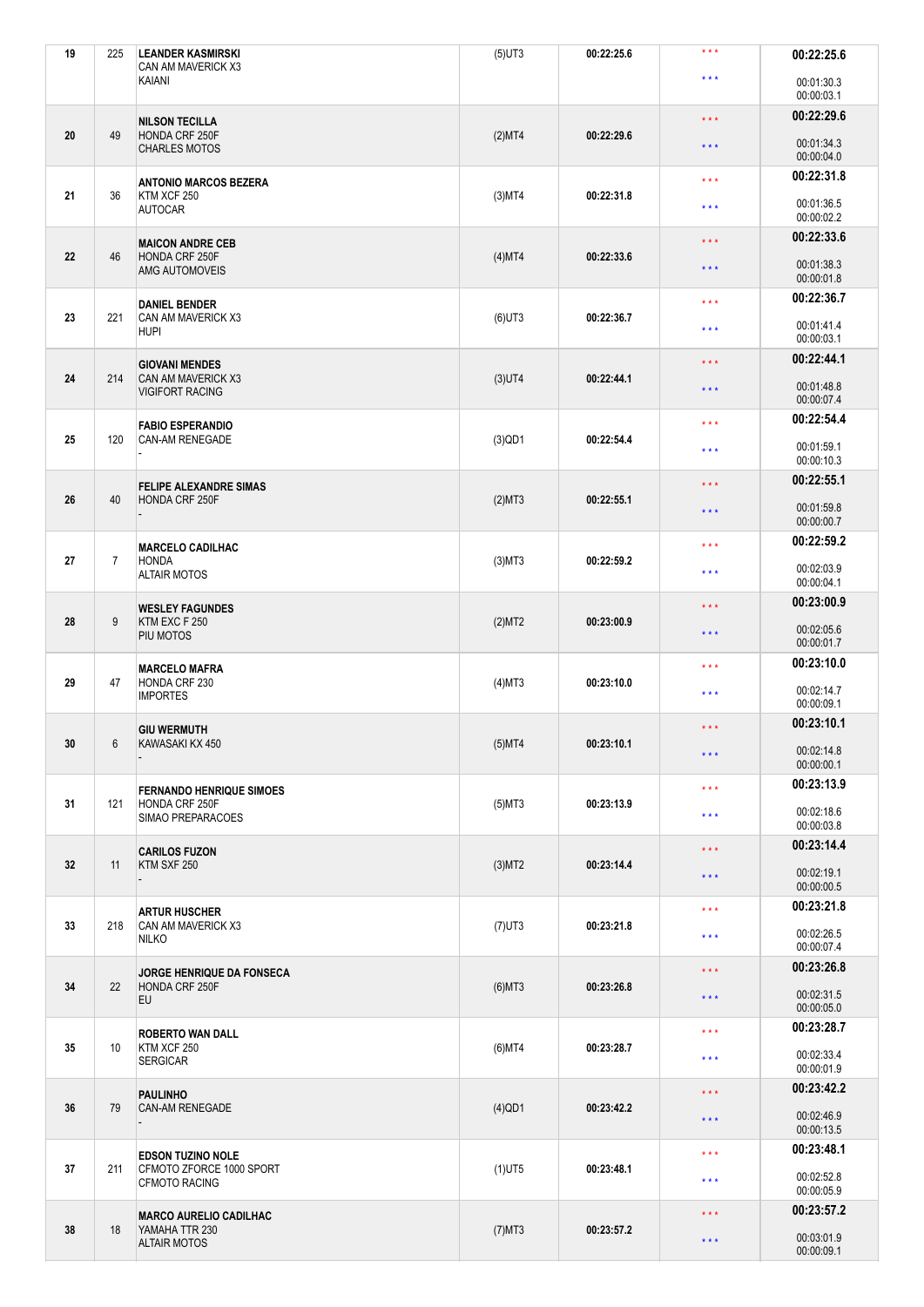| 19 | 225 | <b>LEANDER KASMIRSKI</b><br>CAN AM MAVERICK X3       | $(5)$ UT3 | 00:22:25.6 | $***$               | 00:22:25.6               |
|----|-----|------------------------------------------------------|-----------|------------|---------------------|--------------------------|
|    |     | KAIANI                                               |           |            | $***$               | 00:01:30.3<br>00:00:03.1 |
|    |     | <b>NILSON TECILLA</b>                                |           |            | $\star\star\star$   | 00:22:29.6               |
| 20 | 49  | HONDA CRF 250F<br><b>CHARLES MOTOS</b>               | (2)MT4    | 00:22:29.6 | $\star \star \star$ | 00:01:34.3<br>00:00:04.0 |
|    |     | <b>ANTONIO MARCOS BEZERA</b>                         |           |            | $***$               | 00:22:31.8               |
| 21 | 36  | KTM XCF 250<br><b>AUTOCAR</b>                        | $(3)$ MT4 | 00:22:31.8 | $***$               | 00:01:36.5<br>00:00:02.2 |
|    |     | <b>MAICON ANDRE CEB</b>                              |           |            | $\star\star\star$   | 00:22:33.6               |
| 22 | 46  | HONDA CRF 250F<br>AMG AUTOMOVEIS                     | (4)MT4    | 00:22:33.6 | $***$               | 00:01:38.3<br>00:00:01.8 |
| 23 | 221 | <b>DANIEL BENDER</b><br>CAN AM MAVERICK X3           | $(6)$ UT3 | 00:22:36.7 | $***$               | 00:22:36.7               |
|    |     | <b>HUPI</b>                                          |           |            | $***$               | 00:01:41.4<br>00:00:03.1 |
| 24 | 214 | <b>GIOVANI MENDES</b><br>CAN AM MAVERICK X3          | $(3)$ UT4 | 00:22:44.1 | $***$               | 00:22:44.1               |
|    |     | <b>VIGIFORT RACING</b>                               |           |            | $***$               | 00:01:48.8<br>00:00:07.4 |
|    |     | <b>FABIO ESPERANDIO</b>                              |           |            | $***$               | 00:22:54.4               |
| 25 | 120 | CAN-AM RENEGADE                                      | $(3)$ QD1 | 00:22:54.4 | $***$               | 00:01:59.1<br>00:00:10.3 |
|    |     | <b>FELIPE ALEXANDRE SIMAS</b>                        |           |            | $\star \star \star$ | 00:22:55.1               |
| 26 | 40  | HONDA CRF 250F                                       | (2)MT3    | 00:22:55.1 | $***$               | 00:01:59.8<br>00:00:00.7 |
|    |     | <b>MARCELO CADILHAC</b>                              |           |            | $***$               | 00:22:59.2               |
| 27 | 7   | <b>HONDA</b><br><b>ALTAIR MOTOS</b>                  | $(3)$ MT3 | 00:22:59.2 | $***$               | 00:02:03.9<br>00:00:04.1 |
|    | 9   | <b>WESLEY FAGUNDES</b><br>KTM EXC F 250<br>PIU MOTOS |           |            | $***$               | 00:23:00.9               |
| 28 |     |                                                      | (2)MT2    | 00:23:00.9 | $***$               | 00:02:05.6<br>00:00:01.7 |
|    |     | <b>MARCELO MAFRA</b>                                 |           |            | $***$               | 00:23:10.0               |
| 29 | 47  | HONDA CRF 230<br><b>IMPORTES</b>                     | $(4)$ MT3 | 00:23:10.0 | $***$               | 00:02:14.7<br>00:00:09.1 |
|    |     | <b>GIU WERMUTH</b>                                   |           |            | $***$               | 00:23:10.1               |
| 30 | 6   | KAWASAKI KX 450                                      | $(5)$ MT4 | 00:23:10.1 | $***$               | 00:02:14.8<br>00:00:00.1 |
| 31 | 121 | <b>FERNANDO HENRIQUE SIMOES</b><br>HONDA CRF 250F    | $(5)$ MT3 | 00:23:13.9 | $\star\star\star$   | 00:23:13.9               |
|    |     | SIMAO PREPARACOES                                    |           |            | $***$               | 00:02:18.6<br>00:00:03.8 |
|    |     | <b>CARILOS FUZON</b>                                 |           |            | $***$               | 00:23:14.4               |
| 32 | 11  | KTM SXF 250                                          | (3)MT2    | 00:23:14.4 | $***$               | 00:02:19.1<br>00:00:00.5 |
|    |     | <b>ARTUR HUSCHER</b>                                 |           |            | $\star\star\star$   | 00:23:21.8               |
| 33 | 218 | CAN AM MAVERICK X3<br><b>NILKO</b>                   | $(7)$ UT3 | 00:23:21.8 | $***$               | 00:02:26.5<br>00:00:07.4 |
|    |     | JORGE HENRIQUE DA FONSECA                            |           |            | $\star\star\star$   | 00:23:26.8               |
| 34 | 22  | HONDA CRF 250F<br>EU                                 | $(6)$ MT3 | 00:23:26.8 | $\star \star \star$ | 00:02:31.5<br>00:00:05.0 |
|    |     | <b>ROBERTO WAN DALL</b>                              |           |            | $\star\star\star$   | 00:23:28.7               |
| 35 | 10  | KTM XCF 250<br><b>SERGICAR</b>                       | $(6)$ MT4 | 00:23:28.7 | $\star\star\star$   | 00:02:33.4<br>00:00:01.9 |
|    | 79  | <b>PAULINHO</b><br>CAN-AM RENEGADE                   | $(4)$ QD1 | 00:23:42.2 | $\star\star\star$   | 00:23:42.2               |
| 36 |     |                                                      |           |            | $***$               | 00:02:46.9<br>00:00:13.5 |
|    |     | <b>EDSON TUZINO NOLE</b>                             |           |            | $***$               | 00:23:48.1               |
| 37 | 211 | CFMOTO ZFORCE 1000 SPORT<br>CFMOTO RACING            | $(1)$ UT5 | 00:23:48.1 | $\star \star \star$ | 00:02:52.8<br>00:00:05.9 |
|    |     | <b>MARCO AURELIO CADILHAC</b>                        |           |            | $***$               | 00:23:57.2               |
| 38 | 18  | YAMAHA TTR 230<br><b>ALTAIR MOTOS</b>                | $(7)$ MT3 | 00:23:57.2 | * * *               | 00:03:01.9<br>00:00:09.1 |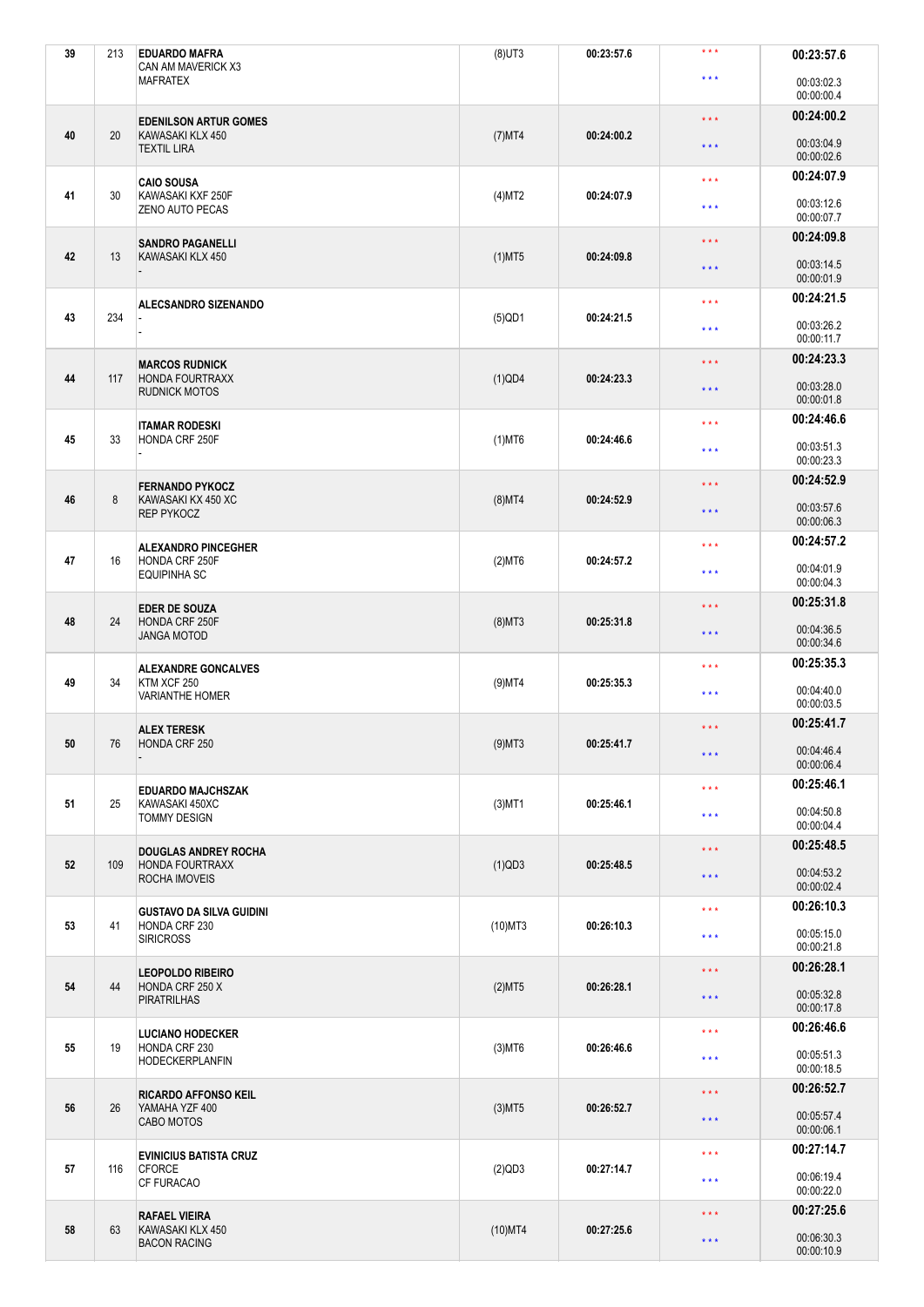| 39 | 213 | <b>EDUARDO MAFRA</b><br>CAN AM MAVERICK X3                         | $(8)$ UT3  | 00:23:57.6 | $***$                   | 00:23:57.6               |
|----|-----|--------------------------------------------------------------------|------------|------------|-------------------------|--------------------------|
|    |     | <b>MAFRATEX</b>                                                    |            |            | $***$                   | 00:03:02.3<br>00:00:00.4 |
|    |     | <b>EDENILSON ARTUR GOMES</b>                                       |            |            | $\star$ $\star$ $\star$ | 00:24:00.2               |
| 40 | 20  | KAWASAKI KLX 450<br><b>TEXTIL LIRA</b>                             | $(7)$ MT4  | 00:24:00.2 | $\star \star \star$     | 00:03:04.9<br>00:00:02.6 |
|    |     | <b>CAIO SOUSA</b>                                                  |            |            | $***$                   | 00:24:07.9               |
| 41 | 30  | KAWASAKI KXF 250F<br><b>ZENO AUTO PECAS</b>                        | (4)MT2     | 00:24:07.9 | $***$                   | 00:03:12.6<br>00:00:07.7 |
|    |     | <b>SANDRO PAGANELLI</b>                                            |            |            | $\star$ $\star$ $\star$ | 00:24:09.8               |
| 42 | 13  | KAWASAKI KLX 450                                                   | $(1)$ MT5  | 00:24:09.8 | $***$                   | 00:03:14.5<br>00:00:01.9 |
|    |     | <b>ALECSANDRO SIZENANDO</b>                                        |            |            | $***$                   | 00:24:21.5               |
| 43 | 234 |                                                                    | $(5)$ QD1  | 00:24:21.5 | $***$                   | 00:03:26.2<br>00:00:11.7 |
|    |     | <b>MARCOS RUDNICK</b>                                              |            |            | $\star$ $\star$ $\star$ | 00:24:23.3               |
| 44 | 117 | <b>HONDA FOURTRAXX</b><br><b>RUDNICK MOTOS</b>                     | $(1)$ QD4  | 00:24:23.3 | $***$                   | 00:03:28.0<br>00:00:01.8 |
|    |     | <b>ITAMAR RODESKI</b>                                              |            |            | $\star\star\star$       | 00:24:46.6               |
| 45 | 33  | HONDA CRF 250F                                                     | $(1)$ MT6  | 00:24:46.6 | $***$                   | 00:03:51.3<br>00:00:23.3 |
|    |     | <b>FERNANDO PYKOCZ</b>                                             |            |            | $\star$ $\star$ $\star$ | 00:24:52.9               |
| 46 | 8   | KAWASAKI KX 450 XC<br><b>REP PYKOCZ</b>                            | $(8)$ MT4  | 00:24:52.9 | $\star \star \star$     | 00:03:57.6<br>00:00:06.3 |
|    |     | <b>ALEXANDRO PINCEGHER</b>                                         |            |            | $\star\star\star$       | 00:24:57.2               |
| 47 | 16  | HONDA CRF 250F<br><b>EQUIPINHA SC</b>                              | $(2)$ MT6  | 00:24:57.2 | $***$                   | 00:04:01.9<br>00:00:04.3 |
|    |     | <b>EDER DE SOUZA</b><br>HONDA CRF 250F<br><b>JANGA MOTOD</b>       |            |            | $\star \star \star$     | 00:25:31.8               |
| 48 | 24  |                                                                    | $(8)$ MT3  | 00:25:31.8 | $***$                   | 00:04:36.5<br>00:00:34.6 |
|    |     | <b>ALEXANDRE GONCALVES</b>                                         |            | 00:25:35.3 | $\star\star\star$       | 00:25:35.3               |
| 49 | 34  | KTM XCF 250<br><b>VARIANTHE HOMER</b>                              | $(9)$ MT4  |            | $***$                   | 00:04:40.0<br>00:00:03.5 |
|    |     | <b>ALEX TERESK</b>                                                 |            |            | $***$                   | 00:25:41.7               |
| 50 | 76  | HONDA CRF 250                                                      | $(9)$ MT3  | 00:25:41.7 | $\star$ $\star$ $\star$ | 00:04:46.4<br>00:00:06.4 |
|    |     | <b>EDUARDO MAJCHSZAK</b>                                           |            |            | $***$                   | 00:25:46.1               |
| 51 | 25  | KAWASAKI 450XC<br><b>TOMMY DESIGN</b>                              | $(3)$ MT1  | 00:25:46.1 | $***$                   | 00:04:50.8<br>00:00:04.4 |
|    |     | <b>DOUGLAS ANDREY ROCHA</b>                                        |            |            | $\star$ $\star$ $\star$ | 00:25:48.5               |
| 52 | 109 | <b>HONDA FOURTRAXX</b><br><b>ROCHA IMOVEIS</b>                     | $(1)$ QD3  | 00:25:48.5 | $\star \star \star$     | 00:04:53.2<br>00:00:02.4 |
|    |     | <b>GUSTAVO DA SILVA GUIDINI</b>                                    |            |            | $\star\star\star$       | 00:26:10.3               |
| 53 | 41  | HONDA CRF 230<br><b>SIRICROSS</b>                                  | $(10)$ MT3 | 00:26:10.3 | $\star$ $\star$ $\star$ | 00:05:15.0<br>00:00:21.8 |
|    |     | <b>LEOPOLDO RIBEIRO</b>                                            |            |            | $***$                   | 00:26:28.1               |
| 54 | 44  | HONDA CRF 250 X<br><b>PIRATRILHAS</b>                              | (2)MT5     | 00:26:28.1 | $\star \star \star$     | 00:05:32.8<br>00:00:17.8 |
|    |     | <b>LUCIANO HODECKER</b><br>HONDA CRF 230<br><b>HODECKERPLANFIN</b> | $(3)$ MT6  |            | $\star\star\star$       | 00:26:46.6               |
| 55 | 19  |                                                                    |            | 00:26:46.6 | $\star\star\star$       | 00:05:51.3<br>00:00:18.5 |
|    |     | <b>RICARDO AFFONSO KEIL</b><br>YAMAHA YZF 400<br>CABO MOTOS        | $(3)$ MT5  | 00:26:52.7 | $\star$ $\star$ $\star$ | 00:26:52.7               |
| 56 | 26  |                                                                    |            |            | $\star$ $\star$ $\star$ | 00:05:57.4<br>00:00:06.1 |
|    |     | <b>EVINICIUS BATISTA CRUZ</b>                                      |            |            | $\star$ $\star$ $\star$ | 00:27:14.7               |
| 57 | 116 | <b>CFORCE</b><br><b>CF FURACAO</b>                                 | $(2)$ QD3  | 00:27:14.7 | $***$                   | 00:06:19.4<br>00:00:22.0 |
|    |     | <b>RAFAEL VIEIRA</b>                                               |            |            | $\star$ $\star$ $\star$ | 00:27:25.6               |
| 58 | 63  | KAWASAKI KLX 450<br><b>BACON RACING</b>                            | $(10)$ MT4 | 00:27:25.6 | $\star \star \star$     | 00:06:30.3<br>00:00:10.9 |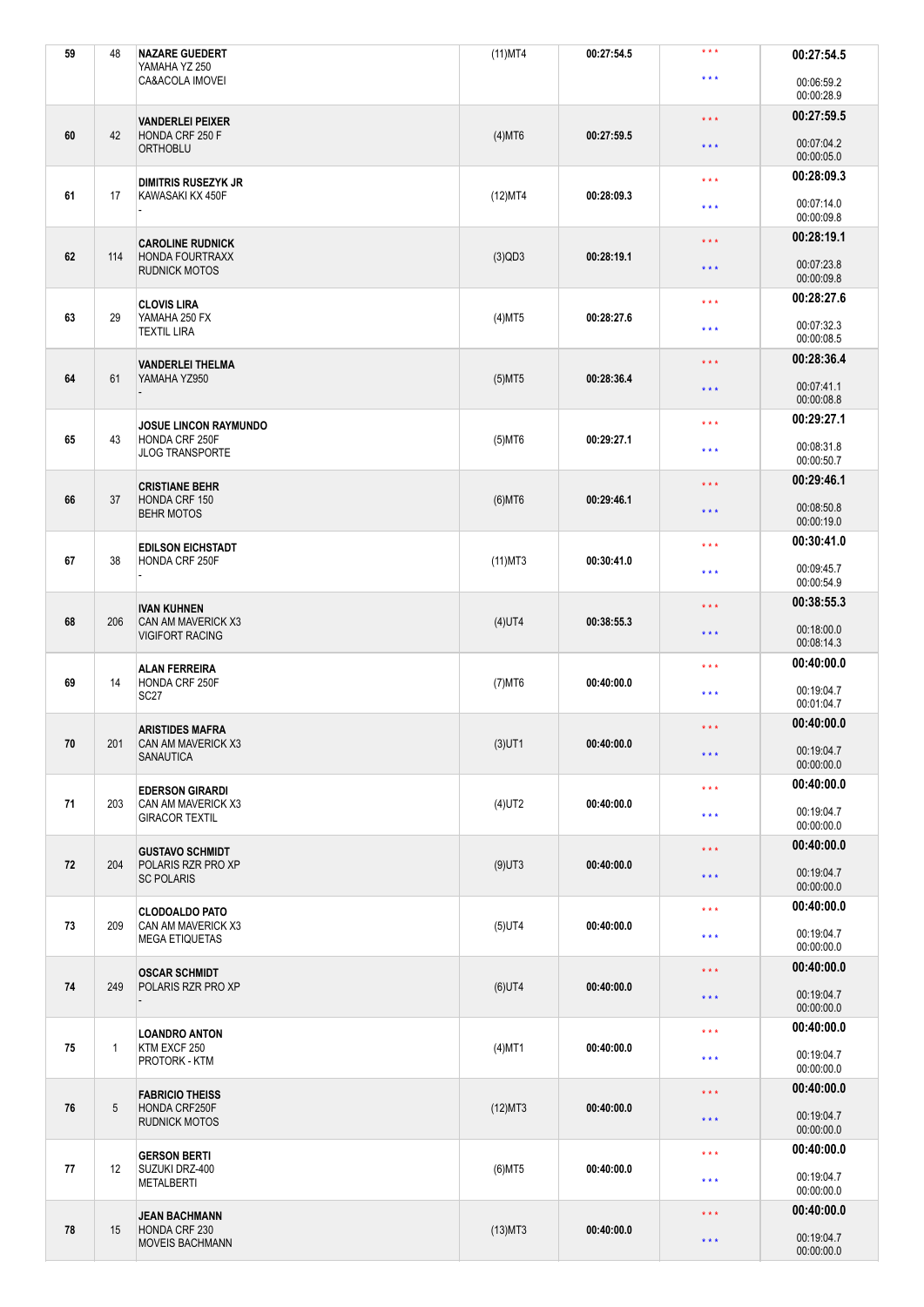| 59 | 48           | <b>NAZARE GUEDERT</b><br>YAMAHA YZ 250                                    | $(11)$ MT4 | 00:27:54.5 | $***$                   | 00:27:54.5               |
|----|--------------|---------------------------------------------------------------------------|------------|------------|-------------------------|--------------------------|
|    |              | CA&ACOLA IMOVEI                                                           |            |            | $***$                   | 00:06:59.2<br>00:00:28.9 |
|    |              | <b>VANDERLEI PEIXER</b>                                                   |            |            | $\star \star \star$     | 00:27:59.5               |
| 60 | 42           | HONDA CRF 250 F<br><b>ORTHOBLU</b>                                        | $(4)$ MT6  | 00:27:59.5 | $***$                   | 00:07:04.2<br>00:00:05.0 |
|    |              | <b>DIMITRIS RUSEZYK JR</b>                                                |            |            | $***$                   | 00:28:09.3               |
| 61 | 17           | KAWASAKI KX 450F                                                          | (12)MT4    | 00:28:09.3 | $\star \star \star$     | 00:07:14.0<br>00:00:09.8 |
|    |              | <b>CAROLINE RUDNICK</b>                                                   |            |            | $***$                   | 00:28:19.1               |
| 62 | 114          | <b>HONDA FOURTRAXX</b><br><b>RUDNICK MOTOS</b>                            | $(3)$ QD3  | 00:28:19.1 | $***$                   | 00:07:23.8<br>00:00:09.8 |
|    |              | <b>CLOVIS LIRA</b>                                                        |            |            | $***$                   | 00:28:27.6               |
| 63 | 29           | YAMAHA 250 FX<br><b>TEXTIL LIRA</b>                                       | $(4)$ MT5  | 00:28:27.6 | $***$                   | 00:07:32.3<br>00:00:08.5 |
| 64 | 61           | <b>VANDERLEI THELMA</b><br>YAMAHA YZ950                                   | $(5)$ MT5  | 00:28:36.4 | $\star \star \star$     | 00:28:36.4               |
|    |              |                                                                           |            |            | $***$                   | 00:07:41.1<br>00:00:08.8 |
|    |              | <b>JOSUE LINCON RAYMUNDO</b>                                              |            |            | $***$                   | 00:29:27.1               |
| 65 | 43           | HONDA CRF 250F<br><b>JLOG TRANSPORTE</b>                                  | $(5)$ MT6  | 00:29:27.1 | $***$                   | 00:08:31.8<br>00:00:50.7 |
|    |              | <b>CRISTIANE BEHR</b>                                                     |            |            | $\star \star \star$     | 00:29:46.1               |
| 66 | 37           | HONDA CRF 150<br><b>BEHR MOTOS</b>                                        | $(6)$ MT6  | 00:29:46.1 | $***$                   | 00:08:50.8<br>00:00:19.0 |
|    |              | <b>EDILSON EICHSTADT</b>                                                  |            |            | $***$                   | 00:30:41.0               |
| 67 | 38           | HONDA CRF 250F                                                            | $(11)$ MT3 | 00:30:41.0 | $***$                   | 00:09:45.7<br>00:00:54.9 |
|    |              | <b>IVAN KUHNEN</b><br><b>CAN AM MAVERICK X3</b><br><b>VIGIFORT RACING</b> |            |            | $***$                   | 00:38:55.3               |
| 68 | 206          |                                                                           | $(4)$ UT4  | 00:38:55.3 | $***$                   | 00:18:00.0<br>00:08:14.3 |
|    | 14           | <b>ALAN FERREIRA</b><br>HONDA CRF 250F<br>SC <sub>27</sub>                |            |            | $***$                   | 00:40:00.0               |
| 69 |              |                                                                           | $(7)$ MT6  | 00:40:00.0 | $***$                   | 00:19:04.7<br>00:01:04.7 |
|    |              | <b>ARISTIDES MAFRA</b>                                                    |            |            | $***$                   | 00:40:00.0               |
| 70 | 201          | CAN AM MAVERICK X3<br>SANAUTICA                                           | $(3)$ UT1  | 00:40:00.0 | $\star$ $\star$ $\star$ | 00:19:04.7<br>00:00:00.0 |
|    |              | <b>EDERSON GIRARDI</b>                                                    |            |            | $***$                   | 00:40:00.0               |
| 71 | 203          | <b>CAN AM MAVERICK X3</b><br><b>GIRACOR TEXTIL</b>                        | $(4)$ UT2  | 00:40:00.0 | $***$                   | 00:19:04.7<br>00:00:00.0 |
|    |              | <b>GUSTAVO SCHMIDT</b>                                                    |            |            | $\star$ $\star$ $\star$ | 00:40:00.0               |
| 72 | 204          | POLARIS RZR PRO XP<br><b>SC POLARIS</b>                                   | $(9)$ UT3  | 00:40:00.0 | $***$                   | 00:19:04.7<br>00:00:00.0 |
|    |              | <b>CLODOALDO PATO</b>                                                     |            |            | $***$                   | 00:40:00.0               |
| 73 | 209          | CAN AM MAVERICK X3<br><b>MEGA ETIQUETAS</b>                               | $(5)$ UT4  | 00:40:00.0 | $\star$ $\star$ $\star$ | 00:19:04.7<br>00:00:00.0 |
|    |              | <b>OSCAR SCHMIDT</b>                                                      |            |            | $***$                   | 00:40:00.0               |
| 74 | 249          | POLARIS RZR PRO XP                                                        | $(6)$ UT4  | 00:40:00.0 | $\star \star \star$     | 00:19:04.7<br>00:00:00.0 |
|    | $\mathbf{1}$ | <b>LOANDRO ANTON</b><br>KTM EXCF 250<br><b>PROTORK - KTM</b>              | $(4)$ MT1  | 00:40:00.0 | $***$                   | 00:40:00.0               |
| 75 |              |                                                                           |            |            | $***$                   | 00:19:04.7<br>00:00:00.0 |
|    | 5            | <b>FABRICIO THEISS</b><br>HONDA CRF250F<br><b>RUDNICK MOTOS</b>           | (12)MT3    | 00:40:00.0 | $***$                   | 00:40:00.0               |
| 76 |              |                                                                           |            |            | $\star$ $\star$ $\star$ | 00:19:04.7<br>00:00:00.0 |
|    |              | <b>GERSON BERTI</b>                                                       |            |            | $***$                   | 00:40:00.0               |
| 77 | 12           | SUZUKI DRZ-400<br><b>METALBERTI</b>                                       | $(6)$ MT5  | 00:40:00.0 | $***$                   | 00:19:04.7<br>00:00:00.0 |
|    |              | <b>JEAN BACHMANN</b>                                                      |            |            | $\star\star\star$       | 00:40:00.0               |
| 78 | 15           | HONDA CRF 230<br><b>MOVEIS BACHMANN</b>                                   | $(13)$ MT3 | 00:40:00.0 | $***$                   | 00:19:04.7<br>00:00:00.0 |